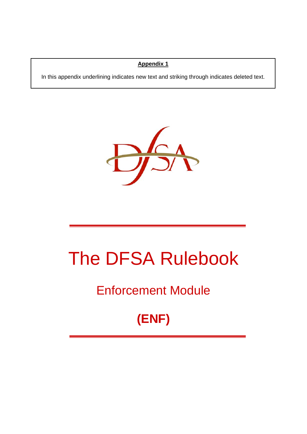### **Appendix 1**

In this appendix underlining indicates new text and striking through indicates deleted text.



# The DFSA Rulebook

# Enforcement Module

# **(ENF)**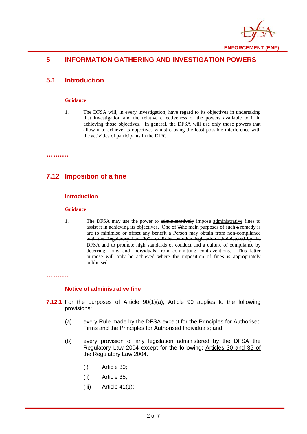

# **5 INFORMATION GATHERING AND INVESTIGATION POWERS**

### **5.1 Introduction**

#### **Guidance**

1. The DFSA will, in every investigation, have regard to its objectives in undertaking that investigation and the relative effectiveness of the powers available to it in achieving those objectives. In general, the DFSA will use only those powers that allow it to achieve its objectives whilst causing the least possible interference with the activities of participants in the DIFC.

**……….** 

# **7.12 Imposition of a fine**

#### **Introduction**

#### **Guidance**

1. The DFSA may use the power to administratively impose administrative fines to assist it in achieving its objectives. One of Tthe main purposes of such a remedy is are to minimise or offset any benefit a Person may obtain from non-compliance with the Regulatory Law 2004 or Rules or other legislation administered by the DFSA and to promote high standards of conduct and a culture of compliance by deterring firms and individuals from committing contraventions. This latter purpose will only be achieved where the imposition of fines is appropriately publicised.

#### **……….**

#### **Notice of administrative fine**

- **7.12.1** For the purposes of Article 90(1)(a), Article 90 applies to the following provisions:
	- (a) every Rule made by the DFSA except for the Principles for Authorised Firms and the Principles for Authorised Individuals; and
	- (b) every provision of any legislation administered by the DFSA the Regulatory Law 2004 except for the following: Articles 30 and 35 of the Regulatory Law 2004.

(i) Article 30;

(ii) Article 35;

 $(iii)$  Article 41(1);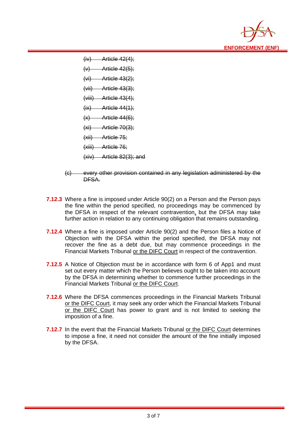

 $(iv)$  Article 42(4);  $(v)$  Article 42(5);  $(vi)$  Article 43(2): (vii) Article 43(3);  $(viii)$  Article 43(4);  $(ix)$  Article 44(1);  $(x)$  Article 44(6); (xi) Article 70(3); (xii) Article 75; (xiii) Article 76; (xiv) Article 82(3); and

- (c) every other provision contained in any legislation administered by the DFSA.
- **7.12.3** Where a fine is imposed under Article 90(2) on a Person and the Person pays the fine within the period specified, no proceedings may be commenced by the DFSA in respect of the relevant contravention, but the DFSA may take further action in relation to any continuing obligation that remains outstanding.
- **7.12.4** Where a fine is imposed under Article 90(2) and the Person files a Notice of Objection with the DFSA within the period specified, the DFSA may not recover the fine as a debt due, but may commence proceedings in the Financial Markets Tribunal or the DIFC Court in respect of the contravention.
- **7.12.5** A Notice of Objection must be in accordance with form 6 of App1 and must set out every matter which the Person believes ought to be taken into account by the DFSA in determining whether to commence further proceedings in the Financial Markets Tribunal or the DIFC Court.
- **7.12.6** Where the DFSA commences proceedings in the Financial Markets Tribunal or the DIFC Court, it may seek any order which the Financial Markets Tribunal or the DIFC Court has power to grant and is not limited to seeking the imposition of a fine.
- **7.12.7** In the event that the Financial Markets Tribunal or the DIFC Court determines to impose a fine, it need not consider the amount of the fine initially imposed by the DFSA.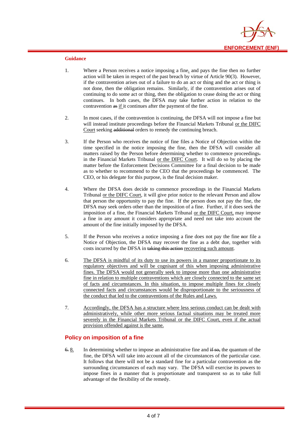

#### **Guidance**

- 1. Where a Person receives a notice imposing a fine, and pays the fine then no further action will be taken in respect of the past breach by virtue of Article 90(3). However, if the contravention arises out of a failure to do an act or thing and the act or thing is not done, then the obligation remains. Similarly, if the contravention arises out of continuing to do some act or thing, then the obligation to cease doing the act or thing continues. In both cases, the DFSA may take further action in relation to the contravention as if it continues after the payment of the fine.
- 2. In most cases, if the contravention is continuing, the DFSA will not impose a fine but will instead institute proceedings before the Financial Markets Tribunal or the DIFC Court seeking additional orders to remedy the continuing breach.
- 3. If the Person who receives the notice of fine files a Notice of Objection within the time specified in the notice imposing the fine, then the DFSA will consider all matters raised by the Person before determining whether to commence proceedings. in the Financial Markets Tribunal or the DIFC Court. It will do so by placing the matter before the Enforcement Decisions Committee for a final decision to be made as to whether to recommend to the CEO that the proceedings be commenced. The CEO, or his delegate for this purpose, is the final decision maker.
- 4. Where the DFSA does decide to commence proceedings in the Financial Markets Tribunal or the DIFC Court, it will give prior notice to the relevant Person and allow that person the opportunity to pay the fine. If the person does not pay the fine, the DFSA may seek orders other than the imposition of a fine. Further, if it does seek the imposition of a fine, the Financial Markets Tribunal or the DIFC Court, may impose a fine in any amount it considers appropriate and need not take into account the amount of the fine initially imposed by the DFSA.
- 5. If the Person who receives a notice imposing a fine does not pay the fine nor file a Notice of Objection, the DFSA may recover the fine as a debt due, together with costs incurred by the DFSA in taking this action recovering such amount.
- 6. The DFSA is mindful of its duty to use its powers in a manner proportionate to its regulatory objectives and will be cognisant of this when imposing administrative fines. The DFSA would not generally seek to impose more than one administrative fine in relation to multiple contraventions which are closely connected to the same set of facts and circumstances. In this situation, to impose multiple fines for closely connected facts and circumstances would be disproportionate to the seriousness of the conduct that led to the contraventions of the Rules and Laws.
- 7. Accordingly, the DFSA has a structure where less serious conduct can be dealt with administratively, while other more serious factual situations may be treated more severely in the Financial Markets Tribunal or the DIFC Court, even if the actual provision offended against is the same.

#### **Policy on imposition of a fine**

 $6.8$ . In determining whether to impose an administrative fine and  $\frac{1}{15}$  and  $\frac{1}{15}$  so, the quantum of the fine, the DFSA will take into account all of the circumstances of the particular case. It follows that there will not be a standard fine for a particular contravention as the surrounding circumstances of each may vary. The DFSA will exercise its powers to impose fines in a manner that is proportionate and transparent so as to take full advantage of the flexibility of the remedy.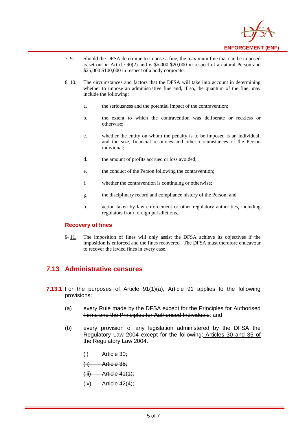

- 7. 9. Should the DFSA determine to impose a fine, the maximum fine that can be imposed is set out in Article 90(2) and is  $$5,000$  \$20,000 in respect of a natural Person and \$25,000 \$100,000 in respect of a body corporate.
- 8. 10. The circumstances and factors that the DFSA will take into account in determining whether to impose an administrative fine and,  $\frac{1}{x}$  for the quantum of the fine, may include the following:
	- a. the seriousness and the potential impact of the contravention;
	- b. the extent to which the contravention was deliberate or reckless or otherwise;
	- c. whether the entity on whom the penalty is to be imposed is an individual, and the size, financial resources and other circumstances of the Person individual;
	- d. the amount of profits accrued or loss avoided;
	- e. the conduct of the Person following the contravention;
	- f. whether the contravention is continuing or otherwise;
	- g. the disciplinary record and compliance history of the Person; and
	- h. action taken by law enforcement or other regulatory authorities, including regulators from foreign jurisdictions.

#### **Recovery of fines**

9. 11. The imposition of fines will only assist the DFSA achieve its objectives if the imposition is enforced and the fines recovered. The DFSA must therefore endeavour to recover the levied fines in every case.

# **7.13 Administrative censures**

- **7.13.1** For the purposes of Article 91(1)(a), Article 91 applies to the following provisions:
	- (a) every Rule made by the DFSA except for the Principles for Authorised Firms and the Principles for Authorised Individuals; and
	- (b) every provision of any legislation administered by the DFSA the Regulatory Law 2004 except for the following: Articles 30 and 35 of the Regulatory Law 2004.
		- (i) Article 30;
		- (ii) Article 35;

 $(iii)$  Article 41(1);

Article  $42(4)$ :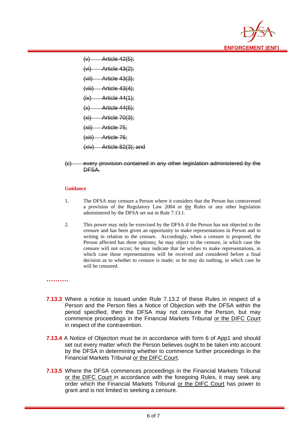

 $(v)$  Article 42(5);  $(vi)$  Article 43 $(2)$ ;  $(vii)$  Article 43(3): (viii) Article 43(4);  $(ix)$  Article 44 $(1)$ ;  $(x)$  Article 44(6);  $(xi)$  Article 70(3); (xii) Article 75; (xiii) Article 76; (xiv) Article 82(3); and

(c) every provision contained in any other legislation administered by the DFSA.

#### **Guidance**

- 1. The DFSA may censure a Person where it considers that the Person has contravened a provision of the Regulatory Law 2004 or the Rules or any other legislation administered by the DFSA set out in Rule 7.13.1.
- 2. This power may only be exercised by the DFSA if the Person has not objected to the censure and has been given an opportunity to make representations in Person and in writing in relation to the censure. Accordingly, when a censure is proposed, the Person affected has three options;: he may object to the censure, in which case the censure will not occur; he may indicate that he wishes to make representations, in which case those representations will be received and considered before a final decision as to whether to censure is made; or he may do nothing, in which case he will be censured.

#### **……….**

- **7.13.3** Where a notice is issued under Rule 7.13.2 of these Rules in respect of a Person and the Person files a Notice of Objection with the DFSA within the period specified, then the DFSA may not censure the Person, but may commence proceedings in the Financial Markets Tribunal or the DIFC Court in respect of the contravention.
- **7.13.4** A Notice of Objection must be in accordance with form 6 of App1 and should set out every matter which the Person believes ought to be taken into account by the DFSA in determining whether to commence further proceedings in the Financial Markets Tribunal or the DIFC Court.
- **7.13.5** Where the DFSA commences proceedings in the Financial Markets Tribunal or the DIFC Court in accordance with the foregoing Rules, it may seek any order which the Financial Markets Tribunal or the DIFC Court has power to grant and is not limited to seeking a censure.